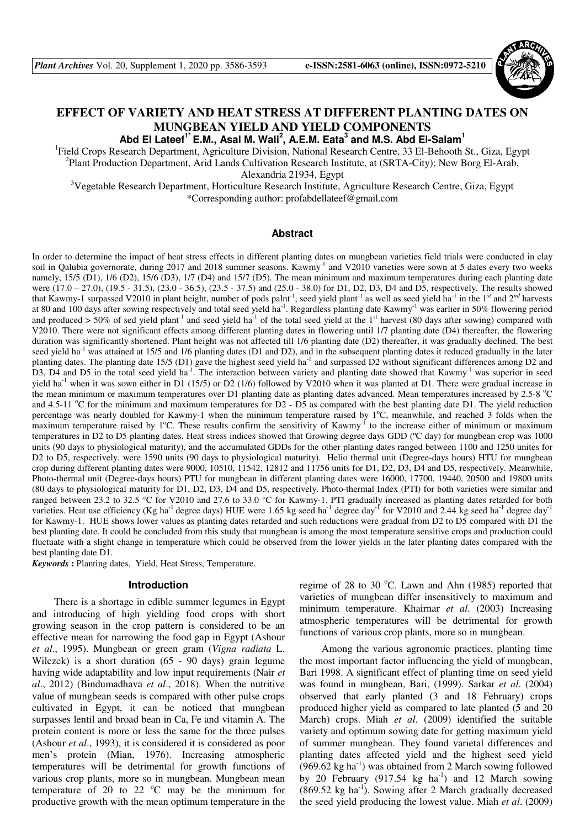

# **EFFECT OF VARIETY AND HEAT STRESS AT DIFFERENT PLANTING DATES ON MUNGBEAN YIELD AND YIELD COMPONENTS**

**Abd El Lateef1\* E.M., Asal M. Wali<sup>2</sup> , A.E.M. Eata<sup>3</sup> and M.S. Abd El-Salam<sup>1</sup>**

<sup>1</sup>Field Crops Research Department, Agriculture Division, National Research Centre, 33 El-Behooth St., Giza, Egypt <sup>2</sup>Plant Production Department, Arid Lands Cultivation Research Institute, at (SRTA-City); New Borg El-Arab, Alexandria 21934, Egypt

<sup>3</sup>Vegetable Research Department, Horticulture Research Institute, Agriculture Research Centre, Giza, Egypt \*Corresponding author: profabdellateef@gmail.com

#### **Abstract**

In order to determine the impact of heat stress effects in different planting dates on mungbean varieties field trials were conducted in clay soil in Qalubia governorate, during 2017 and 2018 summer seasons. Kawmy<sup>-1</sup> and V2010 varieties were sown at 5 dates every two weeks namely, 15/5 (D1), 1/6 (D2), 15/6 (D3), 1/7 (D4) and 15/7 (D5). The mean minimum and maximum temperatures during each planting date were (17.0 – 27.0), (19.5 - 31.5), (23.0 - 36.5), (23.5 - 37.5) and (25.0 - 38.0) for D1, D2, D3, D4 and D5, respectively. The results showed that Kawmy-1 surpassed V2010 in plant height, number of pods palnt<sup>-1</sup>, seed yield plant<sup>-1</sup> as well as seed yield ha<sup>-1</sup> in the 1<sup>st</sup> and 2<sup>nd</sup> harvests at 80 and 100 days after sowing respectively and total seed yield ha<sup>-1</sup>. Regardless planting date Kawmy<sup>-1</sup> was earlier in 50% flowering period and produced > 50% of sed yield plant<sup>-1</sup> and seed yield ha<sup>-1</sup> of the total seed yield at the 1<sup>st</sup> harvest (80 days after sowing) compared with V2010. There were not significant effects among different planting dates in flowering until 1/7 planting date (D4) thereafter, the flowering duration was significantly shortened. Plant height was not affected till 1/6 planting date (D2) thereafter, it was gradually declined. The best seed yield ha<sup>-1</sup> was attained at 15/5 and 1/6 planting dates (D1 and D2), and in the subsequent planting dates it reduced gradually in the later planting dates. The planting date 15/5 (D1) gave the highest seed yield ha<sup>-1</sup> and surpassed D2 without significant differences among D2 and D3, D4 and D5 in the total seed yield ha<sup>-1</sup>. The interaction between variety and planting date showed that Kawmy<sup>-1</sup> was superior in seed yield ha<sup>-1</sup> when it was sown either in D1 (15/5) or D2 (1/6) followed by V2010 when it was planted at D1. There were gradual increase in the mean minimum or maximum temperatures over D1 planting date as planting dates advanced. Mean temperatures increased by  $2.5-8$  °C and 4.5-11  $^{\circ}$ C for the minimum and maximum temperatures for D2 - D5 as compared with the best planting date D1. The yield reduction percentage was nearly doubled for Kawmy-1 when the minimum temperature raised by  $1^{\circ}$ C, meanwhile, and reached 3 folds when the maximum temperature raised by  $1^{\circ}$ C. These results confirm the sensitivity of Kawmy<sup>-1</sup> to the increase either of minimum or maximum temperatures in D2 to D5 planting dates. Heat stress indices showed that Growing degree days GDD (ºC day) for mungbean crop was 1000 units (90 days to physiological maturity), and the accumulated GDDs for the other planting dates ranged between 1100 and 1250 unites for D2 to D5, respectively. were 1590 units (90 days to physiological maturity). Helio thermal unit (Degree-days hours) HTU for mungbean crop during different planting dates were 9000, 10510, 11542, 12812 and 11756 units for D1, D2, D3, D4 and D5, respectively. Meanwhile, Photo-thermal unit (Degree-days hours) PTU for mungbean in different planting dates were 16000, 17700, 19440, 20500 and 19800 units (80 days to physiological maturity for D1, D2, D3, D4 and D5, respectively. Photo-thermal Index (PTI) for both varieties were similar and ranged between 23.2 to 32.5 °C for V2010 and 27.6 to 33.0 °C for Kawmy-1. PTI gradually increased as planting dates retarded for both varieties. Heat use efficiency (Kg ha<sup>-1</sup> degree days) HUE were 1.65 kg seed ha<sup>-1</sup> degree day<sup>-1</sup> for V2010 and 2.44 kg seed ha<sup>-1</sup> degree day<sup>-1</sup> for Kawmy-1. HUE shows lower values as planting dates retarded and such reductions were gradual from D2 to D5 compared with D1 the best planting date. It could be concluded from this study that mungbean is among the most temperature sensitive crops and production could fluctuate with a slight change in temperature which could be observed from the lower yields in the later planting dates compared with the best planting date D1.

*Keywords* **:** Planting dates,Yield, Heat Stress, Temperature.

#### **Introduction**

There is a shortage in edible summer legumes in Egypt and introducing of high yielding food crops with short growing season in the crop pattern is considered to be an effective mean for narrowing the food gap in Egypt (Ashour *et al*., 1995). Mungbean or green gram (*Vigna radiata* L. Wilczek) is a short duration (65 - 90 days) grain legume having wide adaptability and low input requirements (Nair *et al*., 2012) (Bindumadhava *et al*., 2018). When the nutritive value of mungbean seeds is compared with other pulse crops cultivated in Egypt, it can be noticed that mungbean surpasses lentil and broad bean in Ca, Fe and vitamin A. The protein content is more or less the same for the three pulses (Ashour *et al*., 1993), it is considered it is considered as poor men's protein (Mian, 1976). Increasing atmospheric temperatures will be detrimental for growth functions of various crop plants, more so in mungbean. Mungbean mean temperature of 20 to 22  $^{\circ}$ C may be the minimum for productive growth with the mean optimum temperature in the regime of 28 to 30  $^{\circ}$ C. Lawn and Ahn (1985) reported that varieties of mungbean differ insensitively to maximum and minimum temperature. Khairnar *et al*. (2003) Increasing atmospheric temperatures will be detrimental for growth functions of various crop plants, more so in mungbean.

Among the various agronomic practices, planting time the most important factor influencing the yield of mungbean, Bari 1998. A significant effect of planting time on seed yield was found in mungbean, Bari, (1999). Sarkar *et al*. (2004) observed that early planted (3 and 18 February) crops produced higher yield as compared to late planted (5 and 20 March) crops. Miah *et al*. (2009) identified the suitable variety and optimum sowing date for getting maximum yield of summer mungbean. They found varietal differences and planting dates affected yield and the highest seed yield  $(969.62 \text{ kg ha}^{-1})$  was obtained from 2 March sowing followed by 20 February (917.54 kg  $ha^{-1}$ ) and 12 March sowing  $(869.52 \text{ kg ha}^{-1})$ . Sowing after 2 March gradually decreased the seed yield producing the lowest value. Miah *et al*. (2009)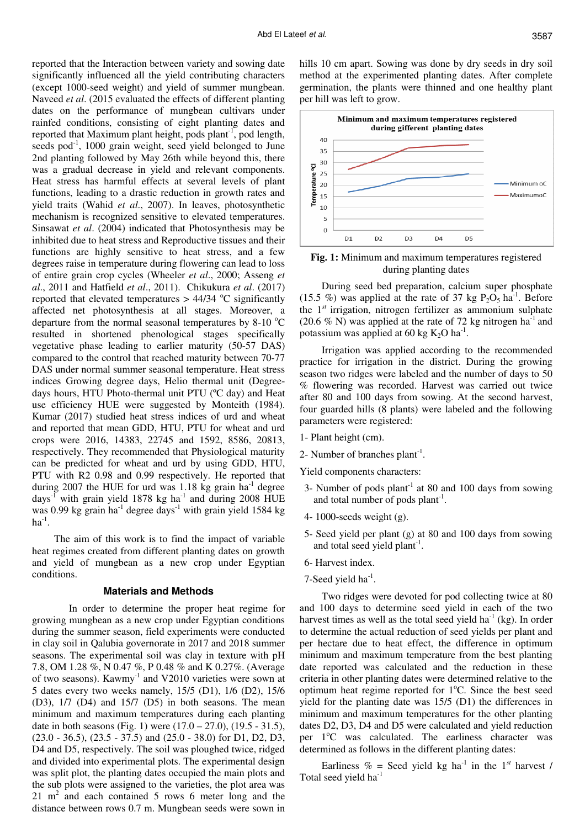reported that the Interaction between variety and sowing date significantly influenced all the yield contributing characters (except 1000-seed weight) and yield of summer mungbean. Naveed *et al*. (2015 evaluated the effects of different planting dates on the performance of mungbean cultivars under rainfed conditions, consisting of eight planting dates and reported that Maximum plant height, pods plant<sup>-1</sup>, pod length, seeds pod $^{-1}$ , 1000 grain weight, seed yield belonged to June 2nd planting followed by May 26th while beyond this, there was a gradual decrease in yield and relevant components. Heat stress has harmful effects at several levels of plant functions, leading to a drastic reduction in growth rates and yield traits (Wahid *et al*., 2007). In leaves, photosynthetic mechanism is recognized sensitive to elevated temperatures. Sinsawat *et al*. (2004) indicated that Photosynthesis may be inhibited due to heat stress and Reproductive tissues and their functions are highly sensitive to heat stress, and a few degrees raise in temperature during flowering can lead to loss of entire grain crop cycles (Wheeler *et al*., 2000; Asseng *et al*., 2011 and Hatfield *et al*., 2011). Chikukura *et al*. (2017) reported that elevated temperatures  $> 44/34$  °C significantly affected net photosynthesis at all stages. Moreover, a departure from the normal seasonal temperatures by  $8-10\degree\text{C}$ resulted in shortened phenological stages specifically vegetative phase leading to earlier maturity (50-57 DAS) compared to the control that reached maturity between 70-77 DAS under normal summer seasonal temperature. Heat stress indices Growing degree days, Helio thermal unit (Degreedays hours, HTU Photo-thermal unit PTU (ºC day) and Heat use efficiency HUE were suggested by Monteith (1984). Kumar (2017) studied heat stress indices of urd and wheat and reported that mean GDD, HTU, PTU for wheat and urd crops were 2016, 14383, 22745 and 1592, 8586, 20813, respectively. They recommended that Physiological maturity can be predicted for wheat and urd by using GDD, HTU, PTU with R2 0.98 and 0.99 respectively. He reported that during 2007 the HUE for urd was  $1.18 \text{ kg}$  grain ha<sup>-1</sup> degree days<sup>-1</sup> with grain yield 1878 kg ha<sup>-1</sup> and during 2008 HUE was 0.99 kg grain ha<sup>-1</sup> degree days<sup>-1</sup> with grain yield 1584 kg  $ha^{-1}$ .

The aim of this work is to find the impact of variable heat regimes created from different planting dates on growth and yield of mungbean as a new crop under Egyptian conditions.

### **Materials and Methods**

 In order to determine the proper heat regime for growing mungbean as a new crop under Egyptian conditions during the summer season, field experiments were conducted in clay soil in Qalubia governorate in 2017 and 2018 summer seasons. The experimental soil was clay in texture with pH 7.8, OM 1.28 %, N 0.47 %, P 0.48 % and K 0.27%. (Average of two seasons). Kawmy-1 and V2010 varieties were sown at 5 dates every two weeks namely, 15/5 (D1), 1/6 (D2), 15/6 (D3), 1/7 (D4) and 15/7 (D5) in both seasons. The mean minimum and maximum temperatures during each planting date in both seasons (Fig. 1) were  $(17.0 - 27.0)$ ,  $(19.5 - 31.5)$ , (23.0 - 36.5), (23.5 - 37.5) and (25.0 - 38.0) for D1, D2, D3, D4 and D5, respectively. The soil was ploughed twice, ridged and divided into experimental plots. The experimental design was split plot, the planting dates occupied the main plots and the sub plots were assigned to the varieties, the plot area was  $21 \text{ m}^2$  and each contained 5 rows 6 meter long and the distance between rows 0.7 m. Mungbean seeds were sown in

hills 10 cm apart. Sowing was done by dry seeds in dry soil method at the experimented planting dates. After complete germination, the plants were thinned and one healthy plant per hill was left to grow.



**Fig. 1:** Minimum and maximum temperatures registered during planting dates

During seed bed preparation, calcium super phosphate (15.5 %) was applied at the rate of 37 kg  $P_2O_5$  ha<sup>-1</sup>. Before the 1*st* irrigation, nitrogen fertilizer as ammonium sulphate (20.6 % N) was applied at the rate of 72 kg nitrogen ha<sup>-1</sup> and potassium was applied at 60 kg  $K_2O$  ha<sup>-1</sup>.

Irrigation was applied according to the recommended practice for irrigation in the district. During the growing season two ridges were labeled and the number of days to 50 % flowering was recorded. Harvest was carried out twice after 80 and 100 days from sowing. At the second harvest, four guarded hills (8 plants) were labeled and the following parameters were registered:

- 1- Plant height (cm).
- 2- Number of branches  $plant<sup>-1</sup>$ .

Yield components characters:

- 3- Number of pods plant<sup>-1</sup> at 80 and 100 days from sowing and total number of pods plant<sup>-1</sup>.
- 4- 1000-seeds weight (g).
- 5- Seed yield per plant (g) at 80 and 100 days from sowing and total seed yield plant<sup>-1</sup>.
- 6- Harvest index.
- 7-Seed yield  $ha^{-1}$ .

Two ridges were devoted for pod collecting twice at 80 and 100 days to determine seed yield in each of the two harvest times as well as the total seed yield ha<sup>-1</sup> (kg). In order to determine the actual reduction of seed yields per plant and per hectare due to heat effect, the difference in optimum minimum and maximum temperature from the best planting date reported was calculated and the reduction in these criteria in other planting dates were determined relative to the optimum heat regime reported for  $1^{\circ}$ C. Since the best seed yield for the planting date was 15/5 (D1) the differences in minimum and maximum temperatures for the other planting dates D2, D3, D4 and D5 were calculated and yield reduction per  $1^{\circ}$ C was calculated. The earliness character was determined as follows in the different planting dates:

Earliness  $\%$  = Seed yield kg ha<sup>-1</sup> in the 1<sup>st</sup> harvest / Total seed yield ha<sup>-1</sup>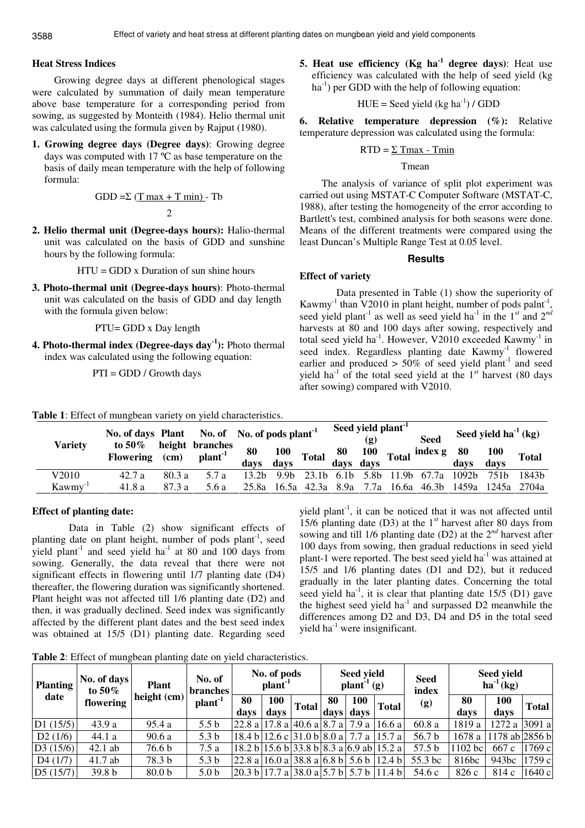# **Heat Stress Indices**

Growing degree days at different phenological stages were calculated by summation of daily mean temperature above base temperature for a corresponding period from sowing, as suggested by Monteith (1984). Helio thermal unit was calculated using the formula given by Rajput (1980).

**1. Growing degree days (Degree days)**: Growing degree days was computed with 17 ºC as base temperature on the basis of daily mean temperature with the help of following formula:

GDD =
$$
\sum
$$
 (T max + T min) - Tb  
2

**2. Helio thermal unit (Degree-days hours):** Halio-thermal unit was calculated on the basis of GDD and sunshine hours by the following formula:

$$
HTU = GDD \times \text{Duration of sun shine hours}
$$

**3. Photo-thermal unit (Degree-days hours)**: Photo-thermal unit was calculated on the basis of GDD and day length with the formula given below:

PTU= GDD x Day length

**4. Photo-thermal index (Degree-days day-1):** Photo thermal index was calculated using the following equation:

**Table 1**: Effect of mungbean variety on yield characteristics.

$$
PTI = GDD / Growth days
$$

**5. Heat use efficiency (Kg ha-1 degree days)**: Heat use efficiency was calculated with the help of seed yield (kg  $ha^{-1}$ ) per GDD with the help of following equation:

 $HUE =$  Seed yield (kg ha<sup>-1</sup>) / GDD

# **6. Relative temperature depression (%):** Relative temperature depression was calculated using the formula:

### $RTD = \Sigma$  Tmax - Tmin

## Tmean

The analysis of variance of split plot experiment was carried out using MSTAT-C Computer Software (MSTAT-C, 1988), after testing the homogeneity of the error according to Bartlett's test, combined analysis for both seasons were done. Means of the different treatments were compared using the least Duncan's Multiple Range Test at 0.05 level.

#### **Results**

# **Effect of variety**

 Data presented in Table (1) show the superiority of Kawmy<sup>-1</sup> than V2010 in plant height, number of pods palnt<sup>-1</sup> , seed yield plant<sup>-1</sup> as well as seed yield ha<sup>-1</sup> in the 1<sup>st</sup> and 2<sup>nd</sup> harvests at 80 and 100 days after sowing, respectively and total seed yield ha<sup>-1</sup>. However, V2010 exceeded Kawmy<sup>-1</sup> in seed index. Regardless planting date Kawmy<sup>-1</sup> flowered earlier and produced  $> 50\%$  of seed yield plant<sup>-1</sup> and seed vield ha<sup>-1</sup> of the total seed yield at the  $1^{st}$  harvest (80 days) after sowing) compared with V2010.

|                     | No. of days Plant No. of No. of pods plant <sup>-1</sup> |        |                                        |                   |      |                                                    | Seed yield plant <sup>1</sup><br>$\left( \mathbf{g} \right)$ |       | <b>Seed</b>                   |             | Seed yield $ha^{-1}$ (kg) |              |
|---------------------|----------------------------------------------------------|--------|----------------------------------------|-------------------|------|----------------------------------------------------|--------------------------------------------------------------|-------|-------------------------------|-------------|---------------------------|--------------|
| <b>Variety</b>      | to 50%<br>Flowering (cm)                                 |        | height branches<br>plant <sup>-1</sup> | 80<br>davs        |      | $\frac{100}{100}$ Total $\frac{60}{90}$ Total days |                                                              |       | $\frac{100}{1}$ Total index g | -80<br>davs | <b>100</b><br>davs        | <b>Total</b> |
| V2010               | 42.7a                                                    | 803a   | 57a                                    | 13.2 <sub>h</sub> | 9.9h |                                                    |                                                              |       | 23.1b 6.1b 5.8b 11.9b 67.7a   | - 1092b     | 751 <sub>b</sub>          | 1843h        |
| Kawmy <sup>-1</sup> | 41.8 a                                                   | 87.3 a | 5.6 a                                  | 25.8a             |      | 16.5a 42.3a 8.9a                                   | 7.7a                                                         | 16.6a |                               | 46.3b 1459a |                           | 1245a 2704a  |

# **Effect of planting date:**

 Data in Table (2) show significant effects of planting date on plant height, number of pods  $plant<sup>-1</sup>$ , seed yield plant<sup>-1</sup> and seed yield ha<sup>-1</sup> at 80 and 100 days from sowing. Generally, the data reveal that there were not significant effects in flowering until 1/7 planting date (D4) thereafter, the flowering duration was significantly shortened. Plant height was not affected till 1/6 planting date (D2) and then, it was gradually declined. Seed index was significantly affected by the different plant dates and the best seed index was obtained at 15/5 (D1) planting date. Regarding seed

yield plant<sup>-1</sup>, it can be noticed that it was not affected until 15/6 planting date (D3) at the 1*st* harvest after 80 days from sowing and till 1/6 planting date (D2) at the 2*nd* harvest after 100 days from sowing, then gradual reductions in seed yield plant-1 were reported. The best seed yield  $ha^{-1}$  was attained at 15/5 and 1/6 planting dates (D1 and D2), but it reduced gradually in the later planting dates. Concerning the total seed yield ha<sup>-1</sup>, it is clear that planting date  $15/5$  (D1) gave the highest seed yield  $ha^{-1}$  and surpassed D2 meanwhile the differences among D2 and D3, D4 and D5 in the total seed yield  $ha^{-1}$  were insignificant.

**Table 2**: Effect of mungbean planting date on yield characteristics.

| <b>Planting</b> | No. of days<br>to 50% | <b>Plant</b>      | No. of<br>branches  | No. of pods<br>plant <sup>-1</sup> |             |                                      |            | Seed yield<br>$\mathbf{plant}^{-1}(\mathbf{g})$ |                                          | <b>Seed</b><br>index | Seed yield<br>$ha^{-1}(kg)$ |                |              |
|-----------------|-----------------------|-------------------|---------------------|------------------------------------|-------------|--------------------------------------|------------|-------------------------------------------------|------------------------------------------|----------------------|-----------------------------|----------------|--------------|
| date            | flowering             | height (cm)       | plant <sup>-1</sup> | 80<br>davs                         | 100<br>davs | <b>Total</b>                         | 80<br>days | 100<br>days                                     | <b>Total</b>                             | (g)                  | 80<br>davs                  | 100<br>davs    | <b>Total</b> |
| D1(15/5)        | 43.9 a                | 95.4 a            | 5.5 <sub>b</sub>    | 22.8a                              |             | 17.8 a 40.6 a 8.7 a                  |            | 7.9 a                                           | 16.6a                                    | 60.8a                | 1819 a                      | 1272a          | 3091 al      |
| D2(1/6)         | 44.1 a                | 90.6 a            | 5.3 <sub>b</sub>    | 18.4 h                             |             | $ 12.6 \c  31.0 \b  8.0 \c  7.7 \c $ |            |                                                 | 15.7a                                    | 56.7 b               | 1678a                       | 1178 ab 2856 b |              |
| D3(15/6)        | $42.1$ ab             | 76.6 b            | 7.5 a               |                                    |             |                                      |            |                                                 | 18.2 b 15.6 b 33.8 b 8.3 a 6.9 ab 15.2 a | 57.5 <sub>b</sub>    | $1102$ bc                   | 667 c          | 1769c        |
| D4(1/7)         | $41.7$ ab             | 78.3 b            | 5.3 <sub>b</sub>    | 22.8a                              |             | 16.0 a 38.8 a 6.8 b 5.6 b            |            |                                                 | 12.4 <sub>b</sub>                        | 55.3 bc              | 816bc                       | 943bc          | 1759c        |
| D5(15/7)        | 39.8 <sub>b</sub>     | 80.0 <sub>b</sub> | 5.0 <sub>b</sub>    | 20.3 b                             |             | 17.7 a 38.0 a 5.7 b 5.7 b            |            |                                                 | 11.4 b                                   | 54.6 c               | 826 c                       | 814 c          | 1640 с       |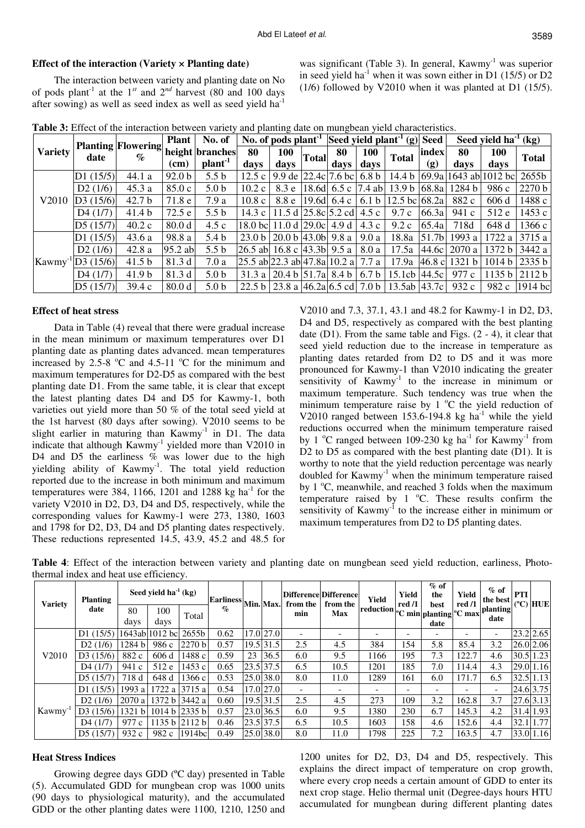## **Effect of the interaction (Variety × Planting date)**

The interaction between variety and planting date on No of pods plant<sup>-1</sup> at the  $1^{st}$  and  $2^{nd}$  harvest (80 and 100 days after sowing) as well as seed index as well as seed yield ha<sup>-1</sup>

was significant (Table 3). In general,  $Kawmy^{-1}$  was superior in seed yield ha<sup>-1</sup> when it was sown either in D1 (15/5) or D2 (1/6) followed by V2010 when it was planted at D1 (15/5).

|  |  |  |  |  | Table 3: Effect of the interaction between variety and planting date on mungbean yield characteristics. |  |
|--|--|--|--|--|---------------------------------------------------------------------------------------------------------|--|
|  |  |  |  |  |                                                                                                         |  |

|                    |              | <b>Planting Flowering</b><br>$\%$ | <b>Plant</b>      | No. of              |                               | No. of pods $plant^{-1}$     |            | Seed yield plant <sup>-1</sup> (g) Seed |                  |                   |              | Seed yield ha $1$ (kg) |                         |                   |              |
|--------------------|--------------|-----------------------------------|-------------------|---------------------|-------------------------------|------------------------------|------------|-----------------------------------------|------------------|-------------------|--------------|------------------------|-------------------------|-------------------|--------------|
| <b>Variety</b>     | date         |                                   |                   |                     | height branches               | 80                           | <b>100</b> | <b>Total</b>                            | 80               | <b>100</b>        | <b>Total</b> | index                  | 80                      | 100               | <b>Total</b> |
|                    |              |                                   | (cm)              | plant <sup>-1</sup> | days                          | days                         |            | days                                    | days             |                   | (g)          | days                   | days                    |                   |              |
| V2010              | D1(15/5)     | 44.1 a                            | 92.0 <sub>b</sub> | 5.5 <sub>b</sub>    | 12.5c                         | 9.9de                        |            | $ 22.4c 7.6$ bc                         | 6.8 <sub>b</sub> | 14.4 b            |              |                        | $69.9a$ 1643 ab 1012 bc | 2655h             |              |
|                    | D2(1/6)      | 45.3a                             | 85.0c             | 5.0 <sub>b</sub>    | 10.2c                         | 8.3 e                        |            | 18.6d $6.5c$                            | $7.4$ ab         | 13.9 <sub>b</sub> | 68.8a        | 1284 b                 | 986 c                   | 2270 b            |              |
|                    | D3(15/6)     | 42.7 <sub>b</sub>                 | 71.8 e            | 7.9 a               | 10.8c                         | 8.8 e                        |            | 19.6d $\pm$ 6.4 c                       | 6.1 <sub>b</sub> | 12.5 bc 68.2a     |              | 882 c                  | 606d                    | 1488 с            |              |
|                    | D4(1/7)      | 41.4 b                            | 72.5 e            | 5.5 <sub>b</sub>    | 14.3 c $\vert$                | 11.5d                        |            | 25.8c 5.2cd                             | 4.5c             | 9.7c              | 66.3a        | 941 c                  | 512 e                   | 1453 c            |              |
|                    | D5(15/7)     | 40.2c                             | 80.0 <sub>d</sub> | 4.5c                | 18.0 bcl $11.0 d$             |                              | 29.0c      | 4.9 d                                   | 4.3c             | 9.2c              | 65.4a        | 718d                   | 648 d                   | 1366 с            |              |
|                    | D1(15/5)     | 43.6a                             | 98.8 a            | 5.4 b               |                               | 23.0 b 20.0 b 43.0 b 9.8 a   |            |                                         | 9.0a             | 18.8a             | 51.7b        | 1993 $a$               | 1722 a                  | 3715 a            |              |
|                    | D2(1/6)      | 42.8a                             | 95.2 ab           | 5.5 <sub>b</sub>    | 26.5 ab 16.8 c 43.3b 9.5 a    |                              |            |                                         | 8.0 a            | 17.5a             | 44.6c        | 2070 a                 | 1372 b                  | 3442 a            |              |
| Kawmy <sup>-</sup> | $\log(15/6)$ | 41.5 <sub>b</sub>                 | 81.3 d            | 7.0a                | 25.5 ab 22.3 ab 47.8a 10.2 al |                              |            |                                         | 7.7 a            | 17.9a             | 46.8c        | 1321 <sub>b</sub>      |                         | $1014 b$   2335 b |              |
|                    | D4(1/7)      | 41.9 <sub>b</sub>                 | 81.3 d            | 5.0 <sub>b</sub>    | 31.3 al                       | 20.4 b $ 51.7a $ 8.4 b       |            |                                         | 6.7 <sub>b</sub> | 15.1cb            | 44.5c        | 977 c                  |                         | 1135 b 2112 b     |              |
|                    | D5(15/7)     | 39.4c                             | 80.0 <sub>d</sub> | 5.0 <sub>b</sub>    | 22.5 h                        | 23.8 a $ 46.2a 6.5$ cd 7.0 b |            |                                         |                  | 13.5ab            | 43.7c        | 932 c                  | 982 c                   | $1914$ bc         |              |

### **Effect of heat stress**

Data in Table (4) reveal that there were gradual increase in the mean minimum or maximum temperatures over D1 planting date as planting dates advanced. mean temperatures increased by 2.5-8  $\degree$ C and 4.5-11  $\degree$ C for the minimum and maximum temperatures for D2-D5 as compared with the best planting date D1. From the same table, it is clear that except the latest planting dates D4 and D5 for Kawmy-1, both varieties out yield more than 50 % of the total seed yield at the 1st harvest (80 days after sowing). V2010 seems to be slight earlier in maturing than  $Kawmy^{-1}$  in D1. The data indicate that although  $Kawmy^{-1}$  yielded more than V2010 in D4 and D5 the earliness  $\%$  was lower due to the high yielding ability of Kawmy<sup>-1</sup>. The total yield reduction reported due to the increase in both minimum and maximum temperatures were 384, 1166, 1201 and 1288 kg ha<sup>-1</sup> for the variety V2010 in D2, D3, D4 and D5, respectively, while the corresponding values for Kawmy-1 were 273, 1380, 1603 and 1798 for D2, D3, D4 and D5 planting dates respectively. These reductions represented 14.5, 43.9, 45.2 and 48.5 for

V2010 and 7.3, 37.1, 43.1 and 48.2 for Kawmy-1 in D2, D3, D4 and D5, respectively as compared with the best planting date  $(D1)$ . From the same table and Figs.  $(2 - 4)$ , it clear that seed yield reduction due to the increase in temperature as planting dates retarded from D2 to D5 and it was more pronounced for Kawmy-1 than V2010 indicating the greater sensitivity of  $Kawmy^{-1}$  to the increase in minimum or maximum temperature. Such tendency was true when the minimum temperature raise by  $1 \,^{\circ}\text{C}$  the yield reduction of V2010 ranged between 153.6-194.8 kg ha<sup>-1</sup> while the yield reductions occurred when the minimum temperature raised by 1  $^{\circ}$ C ranged between 109-230 kg ha<sup>-1</sup> for Kawmy<sup>-1</sup> from D2 to D5 as compared with the best planting date (D1). It is worthy to note that the yield reduction percentage was nearly doubled for  $Kawmy^{-1}$  when the minimum temperature raised by  $1^{\circ}$ C, meanwhile, and reached 3 folds when the maximum temperature raised by  $1 \degree C$ . These results confirm the sensitivity of  $Ka w m y<sup>-1</sup>$  to the increase either in minimum or maximum temperatures from D2 to D5 planting dates.

|                    | thermal muex and neat use emergingly. |                           |                         |        |                             |                          |             |                                               |       |                                                                                                                |                       |                |                    |            |                   |               |
|--------------------|---------------------------------------|---------------------------|-------------------------|--------|-----------------------------|--------------------------|-------------|-----------------------------------------------|-------|----------------------------------------------------------------------------------------------------------------|-----------------------|----------------|--------------------|------------|-------------------|---------------|
| <b>Variety</b>     | <b>Planting</b>                       | Seed yield $ha^{-1}$ (kg) |                         |        |                             | Earliness  Min.  Max.  ' |             | Difference Difference<br>from the<br>from the | Yield | Yield<br>red/1                                                                                                 | $%$ of<br>the<br>best | Yield<br>red/1 | $%$ of<br>the best | <b>PTI</b> | $(^{\circ}C)$ HUE |               |
|                    | date                                  | 80                        | 100                     |        | $\mathcal{G}_{\mathcal{D}}$ |                          |             | min                                           | Max   | $\left \text{reduction}\right _0^1$ $\text{C min}\left \text{planting}\right $ <sup>o</sup> C max <sup>1</sup> |                       |                |                    | planting   |                   |               |
|                    |                                       | davs                      | davs                    | Total  |                             |                          |             |                                               |       |                                                                                                                |                       | date           |                    | date       |                   |               |
|                    | D1(15/5)                              |                           | 1643ab 1012 bc          | 2655b  | 0.62                        |                          | 17.0 27.0   |                                               |       |                                                                                                                |                       |                |                    |            |                   | $23.2$ 2.65   |
|                    | D2(1/6)                               | 1284 b                    | 986c                    | 2270 b | 0.57                        |                          | 19.5 31.5   | 2.5                                           | 4.5   | 384                                                                                                            | 154                   | 5.8            | 85.4               | 3.2        |                   | 26.0 2.06     |
| V2010              | D3(15/6)                              | 882 c                     | 606d                    | 1488 с | 0.59                        | 23                       | 36.5        | 6.0                                           | 9.5   | 166                                                                                                            | 195                   | 7.3            | 122.7              | 4.6        |                   | 30.5 1.23     |
|                    | D4(1/7)                               | 941c                      | 512e                    | 1453 с | 0.65                        |                          | $23.5$ 37.5 | 6.5                                           | 10.5  | 1201                                                                                                           | 185                   | 7.0            | 114.4              | 4.3        |                   | 29.0 1.16     |
|                    | D5(15/7)                              | 718 d                     | 648 d                   | 1366 c | 0.53                        |                          | 25.0 38.0   | 8.0                                           | 11.0  | 1289                                                                                                           | 161                   | 6.0            | 171.7              | 6.5        |                   | $32.5$   1.13 |
|                    | D1(15/5)                              | 1993 $a$                  | 1722a                   | 3715 a | 0.54                        |                          | 17.0 27.0   |                                               |       |                                                                                                                |                       |                |                    |            |                   | 24.6 3.75     |
|                    | D2(1/6)                               | 2070a                     | 1372 b 3442 a           |        | 0.60                        |                          | 19.5 31.5   | 2.5                                           | 4.5   | 273                                                                                                            | 109                   | 3.2            | 162.8              | 3.7        |                   | $27.6$ 3.13   |
| Kawmy <sup>-</sup> | D3(15/6)                              | 1321 b                    | $1014 b$ 2335 b         |        | 0.57                        |                          | 23.0 36.5   | 6.0                                           | 9.5   | 1380                                                                                                           | 230                   | 6.7            | 145.3              | 4.2        |                   | 31.4 1.93     |
|                    | D4(1/7)                               |                           | 977 c   1135 b   2112 b |        | 0.46                        |                          | 23.5 37.5   | 6.5                                           | 10.5  | 1603                                                                                                           | 158                   | 4.6            | 152.6              | 4.4        | 32.1              | 1.77          |

 $\overline{D5}$  (15/7) 932 c 982 c 1914bc 0.49 25.0 38.0 8.0 11.0 1798 225 7.2 163.5 4.7 33.0 1.16

**Table 4**: Effect of the interaction between variety and planting date on mungbean seed yield reduction, earliness, Photothermal index and heat use efficiency.

### **Heat Stress Indices**

Growing degree days GDD (ºC day) presented in Table (5). Accumulated GDD for mungbean crop was 1000 units (90 days to physiological maturity), and the accumulated GDD or the other planting dates were 1100, 1210, 1250 and 1200 unites for D2, D3, D4 and D5, respectively. This explains the direct impact of temperature on crop growth, where every crop needs a certain amount of GDD to enter its next crop stage. Helio thermal unit (Degree-days hours HTU accumulated for mungbean during different planting dates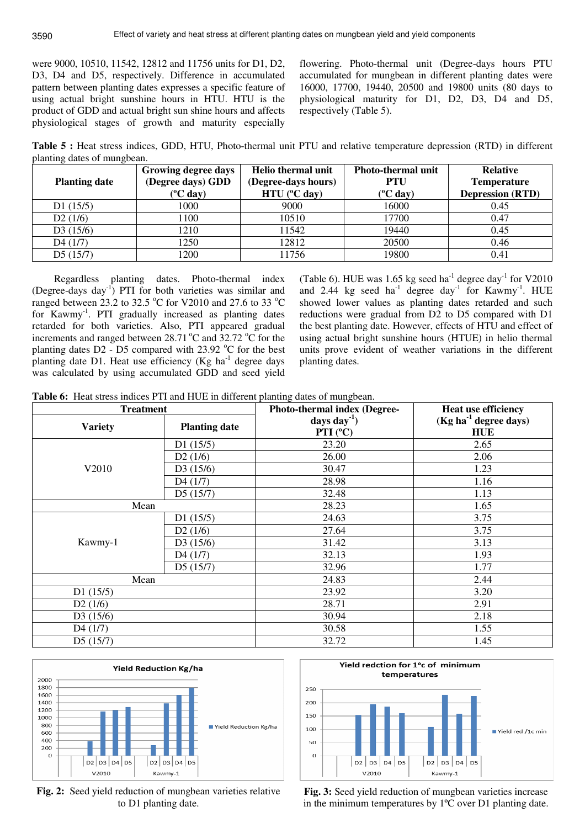were 9000, 10510, 11542, 12812 and 11756 units for D1, D2, D3, D4 and D5, respectively. Difference in accumulated pattern between planting dates expresses a specific feature of using actual bright sunshine hours in HTU. HTU is the product of GDD and actual bright sun shine hours and affects physiological stages of growth and maturity especially

flowering. Photo-thermal unit (Degree-days hours PTU accumulated for mungbean in different planting dates were 16000, 17700, 19440, 20500 and 19800 units (80 days to physiological maturity for D1, D2, D3, D4 and D5, respectively (Table 5).

**Table 5 :** Heat stress indices, GDD, HTU, Photo-thermal unit PTU and relative temperature depression (RTD) in different planting dates of mungbean.

|                      | Growing degree days       | Helio thermal unit        | <b>Photo-thermal unit</b> | <b>Relative</b>         |  |
|----------------------|---------------------------|---------------------------|---------------------------|-------------------------|--|
| <b>Planting date</b> | (Degree days) GDD         | (Degree-days hours)       | <b>PTU</b>                | <b>Temperature</b>      |  |
|                      | $(^{\circ}C \text{ day})$ | $HTU$ ( $^{\circ}$ C day) | $(^{\circ}C$ day)         | <b>Depression (RTD)</b> |  |
| D1(15/5)             | 1000                      | 9000                      | 16000                     | 0.45                    |  |
| D2(1/6)              | 1100                      | 10510                     | 17700                     | 0.47                    |  |
| D3(15/6)             | 1210                      | 11542                     | 19440                     | 0.45                    |  |
| D4(1/7)              | 1250                      | 12812                     | 20500                     | 0.46                    |  |
| D5(15/7)             | 1200                      | 11756                     | 19800                     | 0.41                    |  |

Regardless planting dates. Photo-thermal index (Degree-days day-1) PTI for both varieties was similar and ranged between 23.2 to 32.5  $\degree$ C for V2010 and 27.6 to 33  $\degree$ C for Kawmy-1. PTI gradually increased as planting dates retarded for both varieties. Also, PTI appeared gradual increments and ranged between  $28.71\text{ °C}$  and  $32.72\text{ °C}$  for the planting dates  $D2 - D5$  compared with 23.92 °C for the best planting date D1. Heat use efficiency (Kg  $ha^{-1}$  degree days was calculated by using accumulated GDD and seed yield

(Table 6). HUE was 1.65 kg seed ha<sup>-1</sup> degree day<sup>-1</sup> for V2010 and 2.44 kg seed ha<sup>-1</sup> degree day<sup>-1</sup> for Kawmy<sup>-1</sup>. HUE showed lower values as planting dates retarded and such reductions were gradual from D2 to D5 compared with D1 the best planting date. However, effects of HTU and effect of using actual bright sunshine hours (HTUE) in helio thermal units prove evident of weather variations in the different planting dates.

**Table 6:** Heat stress indices PTI and HUE in different planting dates of mungbean.

| <b>Treatment</b> |                      | Photo-thermal index (Degree-   | <b>Heat use efficiency</b>                      |  |  |
|------------------|----------------------|--------------------------------|-------------------------------------------------|--|--|
| <b>Variety</b>   | <b>Planting date</b> | days day $^{-1}$ )<br>PTI (°C) | (Kg ha <sup>-1</sup> degree days)<br><b>HUE</b> |  |  |
|                  | D1(15/5)             | 23.20                          | 2.65                                            |  |  |
|                  | D2(1/6)              | 26.00                          | 2.06                                            |  |  |
| V2010            | D3(15/6)             | 30.47                          | 1.23                                            |  |  |
|                  | D4(1/7)              | 28.98                          | 1.16                                            |  |  |
|                  | D5(15/7)             | 32.48                          | 1.13                                            |  |  |
| Mean             |                      | 28.23                          | 1.65                                            |  |  |
|                  | D1(15/5)             | 24.63                          | 3.75                                            |  |  |
|                  | D2(1/6)              | 27.64                          | 3.75                                            |  |  |
| Kawmy-1          | D3(15/6)             | 31.42                          | 3.13                                            |  |  |
|                  | D4(1/7)              | 32.13                          | 1.93                                            |  |  |
|                  | D5(15/7)             | 32.96                          | 1.77                                            |  |  |
| Mean             |                      | 24.83                          | 2.44                                            |  |  |
| D1(15/5)         |                      | 23.92                          | 3.20                                            |  |  |
| D2(1/6)          |                      | 28.71                          | 2.91                                            |  |  |
| D3(15/6)         |                      | 30.94                          | 2.18                                            |  |  |
| D4(1/7)          |                      | 30.58                          | 1.55                                            |  |  |
| D5(15/7)         |                      | 32.72                          | 1.45                                            |  |  |



**Fig. 2:** Seed yield reduction of mungbean varieties relative to D1 planting date.



**Fig. 3:** Seed yield reduction of mungbean varieties increase in the minimum temperatures by 1ºC over D1 planting date.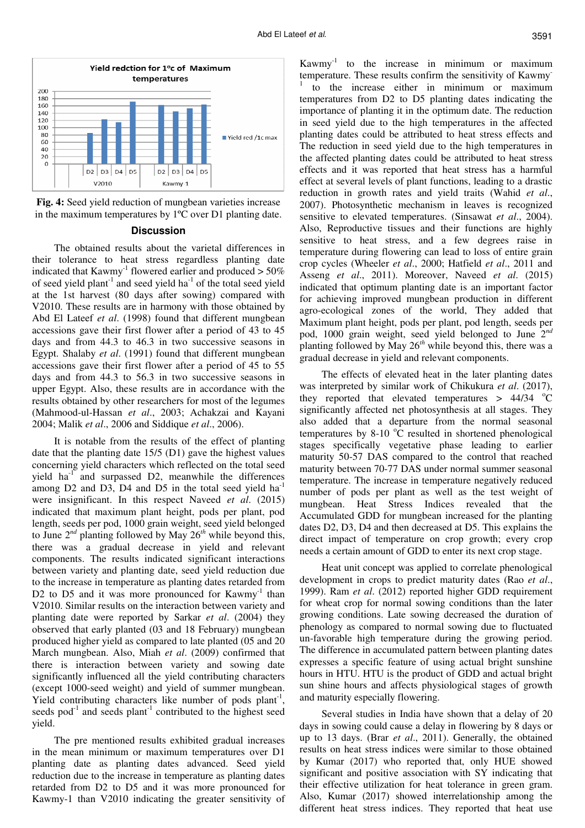

**Fig. 4:** Seed yield reduction of mungbean varieties increase in the maximum temperatures by 1ºC over D1 planting date.

#### **Discussion**

The obtained results about the varietal differences in their tolerance to heat stress regardless planting date indicated that  $Kawmy^{-1}$  flowered earlier and produced  $> 50\%$ of seed yield plant<sup>-1</sup> and seed yield ha<sup>-1</sup> of the total seed yield at the 1st harvest (80 days after sowing) compared with V2010. These results are in harmony with those obtained by Abd El Lateef *et al*. (1998) found that different mungbean accessions gave their first flower after a period of 43 to 45 days and from 44.3 to 46.3 in two successive seasons in Egypt. Shalaby *et al*. (1991) found that different mungbean accessions gave their first flower after a period of 45 to 55 days and from 44.3 to 56.3 in two successive seasons in upper Egypt. Also, these results are in accordance with the results obtained by other researchers for most of the legumes (Mahmood-ul-Hassan *et al*., 2003; Achakzai and Kayani 2004; Malik *et al*., 2006 and Siddique *et al*., 2006).

It is notable from the results of the effect of planting date that the planting date 15/5 (D1) gave the highest values concerning yield characters which reflected on the total seed yield  $ha^{-1}$  and surpassed D2, meanwhile the differences among  $D2$  and  $D3$ ,  $D4$  and  $D5$  in the total seed yield  $ha^{-1}$ were insignificant. In this respect Naveed *et al*. (2015) indicated that maximum plant height, pods per plant, pod length, seeds per pod, 1000 grain weight, seed yield belonged to June 2*nd* planting followed by May 26*th* while beyond this, there was a gradual decrease in yield and relevant components. The results indicated significant interactions between variety and planting date, seed yield reduction due to the increase in temperature as planting dates retarded from D2 to D5 and it was more pronounced for  $Kawmy<sup>-1</sup>$  than V2010. Similar results on the interaction between variety and planting date were reported by Sarkar *et al*. (2004) they observed that early planted (03 and 18 February) mungbean produced higher yield as compared to late planted (05 and 20 March mungbean. Also, Miah *et al*. (2009) confirmed that there is interaction between variety and sowing date significantly influenced all the yield contributing characters (except 1000-seed weight) and yield of summer mungbean. Yield contributing characters like number of pods  $plant<sup>-1</sup>$ , seeds pod<sup>-1</sup> and seeds plant<sup>-1</sup> contributed to the highest seed yield.

The pre mentioned results exhibited gradual increases in the mean minimum or maximum temperatures over D1 planting date as planting dates advanced. Seed yield reduction due to the increase in temperature as planting dates retarded from D2 to D5 and it was more pronounced for Kawmy-1 than V2010 indicating the greater sensitivity of

Kawmy<sup>-1</sup> to the increase in minimum or maximum temperature. These results confirm the sensitivity of Kawmy-1 to the increase either in minimum or maximum temperatures from D2 to D5 planting dates indicating the importance of planting it in the optimum date. The reduction in seed yield due to the high temperatures in the affected planting dates could be attributed to heat stress effects and The reduction in seed yield due to the high temperatures in the affected planting dates could be attributed to heat stress effects and it was reported that heat stress has a harmful effect at several levels of plant functions, leading to a drastic reduction in growth rates and yield traits (Wahid *et al*., 2007). Photosynthetic mechanism in leaves is recognized sensitive to elevated temperatures. (Sinsawat *et al*., 2004). Also, Reproductive tissues and their functions are highly sensitive to heat stress, and a few degrees raise in temperature during flowering can lead to loss of entire grain crop cycles (Wheeler *et al*., 2000; Hatfield *et al*., 2011 and Asseng *et al*., 2011). Moreover, Naveed *et al*. (2015) indicated that optimum planting date is an important factor for achieving improved mungbean production in different agro-ecological zones of the world, They added that Maximum plant height, pods per plant, pod length, seeds per pod, 1000 grain weight, seed yield belonged to June 2*nd* planting followed by May 26*th* while beyond this, there was a gradual decrease in yield and relevant components.

The effects of elevated heat in the later planting dates was interpreted by similar work of Chikukura *et al*. (2017), they reported that elevated temperatures  $> 44/34$  °C significantly affected net photosynthesis at all stages. They also added that a departure from the normal seasonal temperatures by  $8-10$  °C resulted in shortened phenological stages specifically vegetative phase leading to earlier maturity 50-57 DAS compared to the control that reached maturity between 70-77 DAS under normal summer seasonal temperature. The increase in temperature negatively reduced number of pods per plant as well as the test weight of mungbean. Heat Stress Indices revealed that the Accumulated GDD for mungbean increased for the planting dates D2, D3, D4 and then decreased at D5. This explains the direct impact of temperature on crop growth; every crop needs a certain amount of GDD to enter its next crop stage.

Heat unit concept was applied to correlate phenological development in crops to predict maturity dates (Rao *et al*., 1999). Ram *et al*. (2012) reported higher GDD requirement for wheat crop for normal sowing conditions than the later growing conditions. Late sowing decreased the duration of phenology as compared to normal sowing due to fluctuated un-favorable high temperature during the growing period. The difference in accumulated pattern between planting dates expresses a specific feature of using actual bright sunshine hours in HTU. HTU is the product of GDD and actual bright sun shine hours and affects physiological stages of growth and maturity especially flowering.

Several studies in India have shown that a delay of 20 days in sowing could cause a delay in flowering by 8 days or up to 13 days. (Brar *et al*., 2011). Generally, the obtained results on heat stress indices were similar to those obtained by Kumar (2017) who reported that, only HUE showed significant and positive association with SY indicating that their effective utilization for heat tolerance in green gram. Also, Kumar (2017) showed interrelationship among the different heat stress indices. They reported that heat use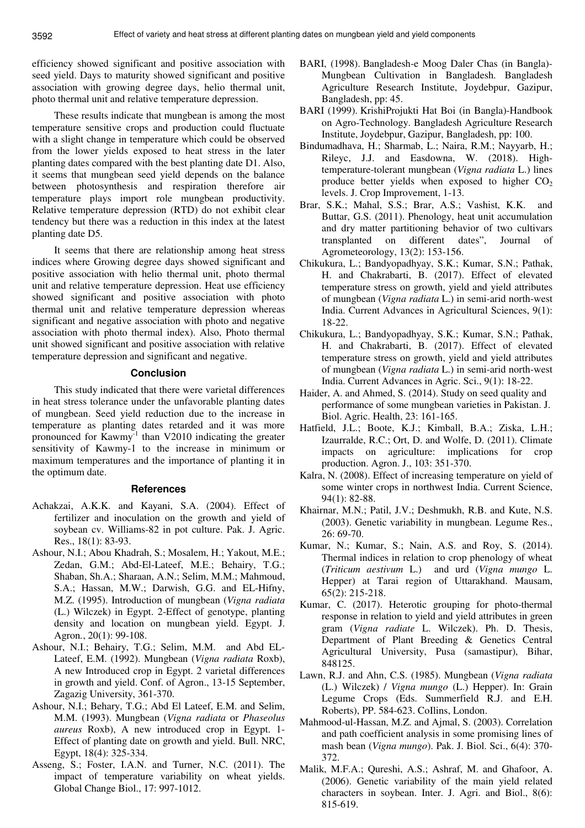efficiency showed significant and positive association with seed yield. Days to maturity showed significant and positive association with growing degree days, helio thermal unit, photo thermal unit and relative temperature depression.

These results indicate that mungbean is among the most temperature sensitive crops and production could fluctuate with a slight change in temperature which could be observed from the lower yields exposed to heat stress in the later planting dates compared with the best planting date D1. Also, it seems that mungbean seed yield depends on the balance between photosynthesis and respiration therefore air temperature plays import role mungbean productivity. Relative temperature depression (RTD) do not exhibit clear tendency but there was a reduction in this index at the latest planting date D5.

It seems that there are relationship among heat stress indices where Growing degree days showed significant and positive association with helio thermal unit, photo thermal unit and relative temperature depression. Heat use efficiency showed significant and positive association with photo thermal unit and relative temperature depression whereas significant and negative association with photo and negative association with photo thermal index). Also, Photo thermal unit showed significant and positive association with relative temperature depression and significant and negative.

## **Conclusion**

This study indicated that there were varietal differences in heat stress tolerance under the unfavorable planting dates of mungbean. Seed yield reduction due to the increase in temperature as planting dates retarded and it was more pronounced for Kawmy-1 than V2010 indicating the greater sensitivity of Kawmy-1 to the increase in minimum or maximum temperatures and the importance of planting it in the optimum date.

### **References**

- Achakzai, A.K.K. and Kayani, S.A. (2004). Effect of fertilizer and inoculation on the growth and yield of soybean cv. Williams-82 in pot culture. Pak. J. Agric. Res., 18(1): 83-93.
- Ashour, N.I.; Abou Khadrah, S.; Mosalem, H.; Yakout, M.E.; Zedan, G.M.; Abd-El-Lateef, M.E.; Behairy, T.G.; Shaban, Sh.A.; Sharaan, A.N.; Selim, M.M.; Mahmoud, S.A.; Hassan, M.W.; Darwish, G.G. and EL-Hifny, M.Z. (1995). Introduction of mungbean (*Vigna radiata*  (L.) Wilczek) in Egypt. 2-Effect of genotype, planting density and location on mungbean yield. Egypt. J. Agron*.*, 20(1): 99-108.
- Ashour, N.I.; Behairy, T.G.; Selim, M.M. and Abd EL-Lateef, E.M. (1992). Mungbean (*Vigna radiata* Roxb), A new Introduced crop in Egypt. 2 varietal differences in growth and yield. Conf. of Agron., 13-15 September, Zagazig University, 361-370.
- Ashour, N.I.; Behary, T.G.; Abd El Lateef, E.M. and Selim, M.M. (1993). Mungbean (*Vigna radiata* or *Phaseolus aureus* Roxb), A new introduced crop in Egypt. 1- Effect of planting date on growth and yield. Bull. NRC, Egypt, 18(4): 325-334.
- Asseng, S.; Foster, I.A.N. and Turner, N.C. (2011). The impact of temperature variability on wheat yields. Global Change Biol., 17: 997-1012.
- BARI, (1998). Bangladesh-e Moog Daler Chas (in Bangla)- Mungbean Cultivation in Bangladesh. Bangladesh Agriculture Research Institute, Joydebpur, Gazipur, Bangladesh, pp: 45.
- BARI (1999). KrishiProjukti Hat Boi (in Bangla)-Handbook on Agro-Technology. Bangladesh Agriculture Research Institute, Joydebpur, Gazipur, Bangladesh, pp: 100.
- Bindumadhava, H.; Sharmab, L.; Naira, R.M.; Nayyarb, H.; Rileyc, J.J. and Easdowna, W. (2018). Hightemperature-tolerant mungbean (*Vigna radiata* L.) lines produce better yields when exposed to higher  $CO<sub>2</sub>$ levels. J. Crop Improvement, 1-13.
- Brar, S.K.; Mahal, S.S.; Brar, A.S.; Vashist, K.K. and Buttar, G.S. (2011). Phenology, heat unit accumulation and dry matter partitioning behavior of two cultivars transplanted on different dates", Journal of Agrometeorology, 13(2): 153-156.
- Chikukura, L.; Bandyopadhyay, S.K.; Kumar, S.N.; Pathak, H. and Chakrabarti, B. (2017). Effect of elevated temperature stress on growth, yield and yield attributes of mungbean (*Vigna radiata* L.) in semi-arid north-west India. Current Advances in Agricultural Sciences, 9(1): 18-22.
- Chikukura, L.; Bandyopadhyay, S.K.; Kumar, S.N.; Pathak, H. and Chakrabarti, B. (2017). Effect of elevated temperature stress on growth, yield and yield attributes of mungbean (*Vigna radiata* L.) in semi-arid north-west India. Current Advances in Agric. Sci., 9(1): 18-22.
- Haider, A. and Ahmed, S. (2014). Study on seed quality and performance of some mungbean varieties in Pakistan. J. Biol. Agric. Health, 23: 161-165.
- Hatfield, J.L.; Boote, K.J.; Kimball, B.A.; Ziska, L.H.; Izaurralde, R.C.; Ort, D. and Wolfe, D. (2011). Climate impacts on agriculture: implications for crop production. Agron. J., 103: 351-370.
- Kalra, N. (2008). Effect of increasing temperature on yield of some winter crops in northwest India. Current Science, 94(1): 82-88.
- Khairnar, M.N.; Patil, J.V.; Deshmukh, R.B. and Kute, N.S. (2003). Genetic variability in mungbean. Legume Res., 26: 69-70.
- Kumar, N.; Kumar, S.; Nain, A.S. and Roy, S. (2014). Thermal indices in relation to crop phenology of wheat (*Triticum aestivum* L.) and urd (*Vigna mungo* L. Hepper) at Tarai region of Uttarakhand. Mausam, 65(2): 215-218.
- Kumar, C. (2017). Heterotic grouping for photo-thermal response in relation to yield and yield attributes in green gram (*Vigna radiate* L. Wilczek). Ph. D. Thesis, Department of Plant Breeding & Genetics Central Agricultural University, Pusa (samastipur), Bihar, 848125.
- Lawn, R.J. and Ahn, C.S. (1985). Mungbean (*Vigna radiata* (L.) Wilczek) / *Vigna mungo* (L.) Hepper). In: Grain Legume Crops (Eds. Summerfield R.J. and E.H. Roberts), PP. 584-623. CoIlins, London.
- Mahmood-ul-Hassan, M.Z. and Ajmal, S. (2003). Correlation and path coefficient analysis in some promising lines of mash bean (*Vigna mungo*). Pak. J. Biol. Sci., 6(4): 370- 372.
- Malik, M.F.A.; Qureshi, A.S.; Ashraf, M. and Ghafoor, A. (2006). Genetic variability of the main yield related characters in soybean. Inter. J. Agri. and Biol., 8(6): 815-619.